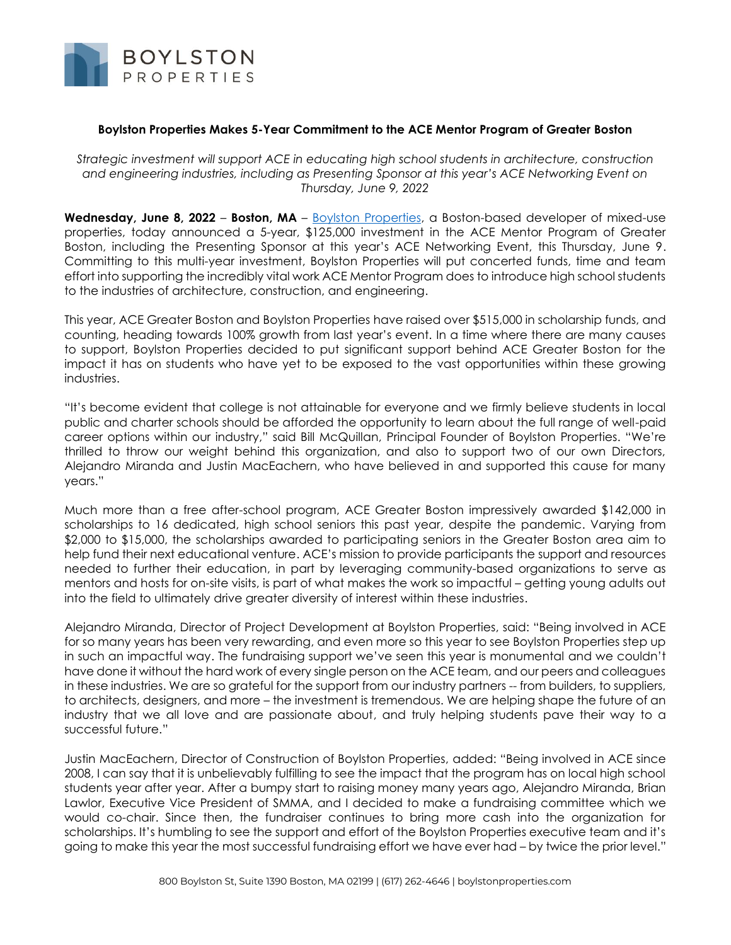

## **Boylston Properties Makes 5-Year Commitment to the ACE Mentor Program of Greater Boston**

*Strategic investment will support ACE in educating high school students in architecture, construction and engineering industries, including as Presenting Sponsor at this year's ACE Networking Event on Thursday, June 9, 2022*

**Wednesday, June 8, 2022** – **Boston, MA** – [Boylston Properties,](http://www.boylstonproperties.com/) a Boston-based developer of mixed-use properties, today announced a 5-year, \$125,000 investment in the ACE Mentor Program of Greater Boston, including the Presenting Sponsor at this year's ACE Networking Event, this Thursday, June 9. Committing to this multi-year investment, Boylston Properties will put concerted funds, time and team effort into supporting the incredibly vital work ACE Mentor Program does to introduce high school students to the industries of architecture, construction, and engineering.

This year, ACE Greater Boston and Boylston Properties have raised over \$515,000 in scholarship funds, and counting, heading towards 100% growth from last year's event. In a time where there are many causes to support, Boylston Properties decided to put significant support behind ACE Greater Boston for the impact it has on students who have yet to be exposed to the vast opportunities within these growing industries.

"It's become evident that college is not attainable for everyone and we firmly believe students in local public and charter schools should be afforded the opportunity to learn about the full range of well-paid career options within our industry," said Bill McQuillan, Principal Founder of Boylston Properties. "We're thrilled to throw our weight behind this organization, and also to support two of our own Directors, Alejandro Miranda and Justin MacEachern, who have believed in and supported this cause for many years."

Much more than a free after-school program, ACE Greater Boston impressively awarded \$142,000 in scholarships to 16 dedicated, high school seniors this past year, despite the pandemic. Varying from \$2,000 to \$15,000, the scholarships awarded to participating seniors in the Greater Boston area aim to help fund their next educational venture. ACE's mission to provide participants the support and resources needed to further their education, in part by leveraging community-based organizations to serve as mentors and hosts for on-site visits, is part of what makes the work so impactful – getting young adults out into the field to ultimately drive greater diversity of interest within these industries.

Alejandro Miranda, Director of Project Development at Boylston Properties, said: "Being involved in ACE for so many years has been very rewarding, and even more so this year to see Boylston Properties step up in such an impactful way. The fundraising support we've seen this year is monumental and we couldn't have done it without the hard work of every single person on the ACE team, and our peers and colleagues in these industries. We are so grateful for the support from our industry partners -- from builders, to suppliers, to architects, designers, and more – the investment is tremendous. We are helping shape the future of an industry that we all love and are passionate about, and truly helping students pave their way to a successful future."

Justin MacEachern, Director of Construction of Boylston Properties, added: "Being involved in ACE since 2008, I can say that it is unbelievably fulfilling to see the impact that the program has on local high school students year after year. After a bumpy start to raising money many years ago, Alejandro Miranda, Brian Lawlor, Executive Vice President of SMMA, and I decided to make a fundraising committee which we would co-chair. Since then, the fundraiser continues to bring more cash into the organization for scholarships. It's humbling to see the support and effort of the Boylston Properties executive team and it's going to make this year the most successful fundraising effort we have ever had – by twice the prior level."